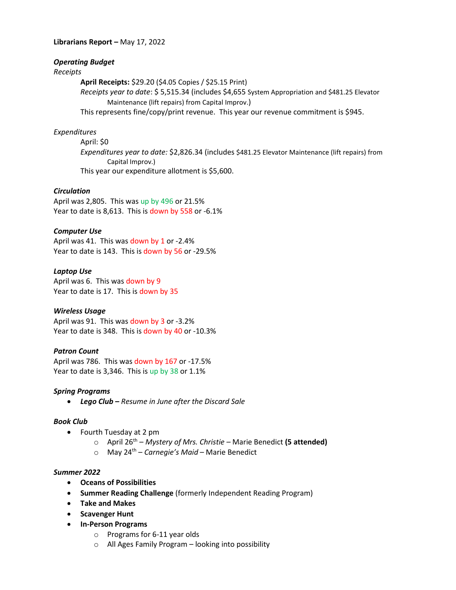#### **Librarians Report –** May 17, 2022

## *Operating Budget*

## *Receipts*

**April Receipts:** \$29.20 (\$4.05 Copies / \$25.15 Print)

*Receipts year to date*: \$ 5,515.34 (includes \$4,655 System Appropriation and \$481.25 Elevator Maintenance (lift repairs) from Capital Improv.)

This represents fine/copy/print revenue. This year our revenue commitment is \$945.

#### *Expenditures*

April: \$0 *Expenditures year to date:* \$2,826.34 (includes \$481.25 Elevator Maintenance (lift repairs) from Capital Improv.) This year our expenditure allotment is \$5,600.

#### *Circulation*

April was 2,805. This was up by 496 or 21.5% Year to date is 8,613. This is down by 558 or -6.1%

## *Computer Use*

April was 41. This was down by 1 or -2.4% Year to date is 143. This is down by 56 or -29.5%

#### *Laptop Use*

April was 6. This was down by 9 Year to date is 17. This is down by 35

## *Wireless Usage*

April was 91. This was down by 3 or -3.2% Year to date is 348. This is down by 40 or -10.3%

#### *Patron Count*

April was 786. This was down by 167 or -17.5% Year to date is 3,346. This is up by 38 or 1.1%

#### *Spring Programs*

*Lego Club – Resume in June after the Discard Sale*

#### *Book Club*

- Fourth Tuesday at 2 pm
	- o April 26th *Mystery of Mrs. Christie –* Marie Benedict **(5 attended)**
	- o May 24th *Carnegie's Maid*  Marie Benedict

#### *Summer 2022*

- **Oceans of Possibilities**
- **Summer Reading Challenge** (formerly Independent Reading Program)
- **Take and Makes**
- **•** Scavenger Hunt
- **In-Person Programs** 
	- o Programs for 6-11 year olds
	- o All Ages Family Program looking into possibility